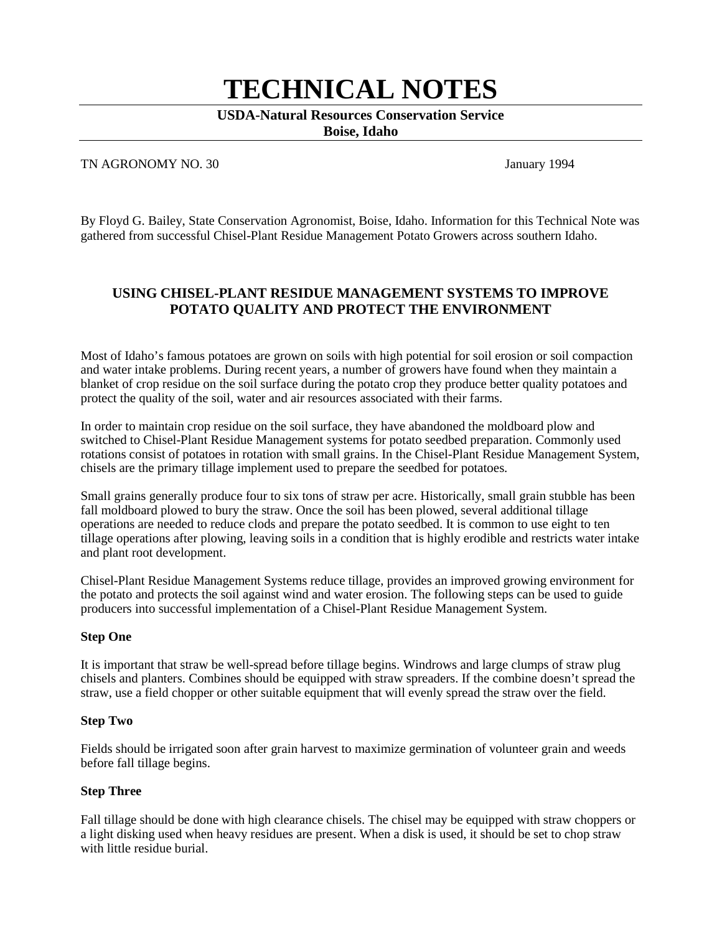# **TECHNICAL NOTES**

# **USDA-Natural Resources Conservation Service**

**Boise, Idaho**

#### TN AGRONOMY NO. 30 January 1994

By Floyd G. Bailey, State Conservation Agronomist, Boise, Idaho. Information for this Technical Note was gathered from successful Chisel-Plant Residue Management Potato Growers across southern Idaho.

# **USING CHISEL-PLANT RESIDUE MANAGEMENT SYSTEMS TO IMPROVE POTATO QUALITY AND PROTECT THE ENVIRONMENT**

Most of Idaho's famous potatoes are grown on soils with high potential for soil erosion or soil compaction and water intake problems. During recent years, a number of growers have found when they maintain a blanket of crop residue on the soil surface during the potato crop they produce better quality potatoes and protect the quality of the soil, water and air resources associated with their farms.

In order to maintain crop residue on the soil surface, they have abandoned the moldboard plow and switched to Chisel-Plant Residue Management systems for potato seedbed preparation. Commonly used rotations consist of potatoes in rotation with small grains. In the Chisel-Plant Residue Management System, chisels are the primary tillage implement used to prepare the seedbed for potatoes.

Small grains generally produce four to six tons of straw per acre. Historically, small grain stubble has been fall moldboard plowed to bury the straw. Once the soil has been plowed, several additional tillage operations are needed to reduce clods and prepare the potato seedbed. It is common to use eight to ten tillage operations after plowing, leaving soils in a condition that is highly erodible and restricts water intake and plant root development.

Chisel-Plant Residue Management Systems reduce tillage, provides an improved growing environment for the potato and protects the soil against wind and water erosion. The following steps can be used to guide producers into successful implementation of a Chisel-Plant Residue Management System.

#### **Step One**

It is important that straw be well-spread before tillage begins. Windrows and large clumps of straw plug chisels and planters. Combines should be equipped with straw spreaders. If the combine doesn't spread the straw, use a field chopper or other suitable equipment that will evenly spread the straw over the field.

#### **Step Two**

Fields should be irrigated soon after grain harvest to maximize germination of volunteer grain and weeds before fall tillage begins.

#### **Step Three**

Fall tillage should be done with high clearance chisels. The chisel may be equipped with straw choppers or a light disking used when heavy residues are present. When a disk is used, it should be set to chop straw with little residue burial.